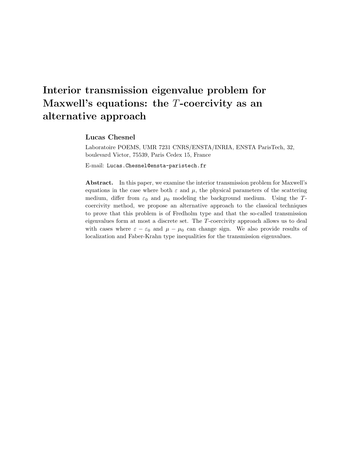# Interior transmission eigenvalue problem for Maxwell's equations: the  $T$ -coercivity as an alternative approach

## Lucas Chesnel

Laboratoire POEMS, UMR 7231 CNRS/ENSTA/INRIA, ENSTA ParisTech, 32, boulevard Victor, 75539, Paris Cedex 15, France

E-mail: Lucas.Chesnel@ensta-paristech.fr

Abstract. In this paper, we examine the interior transmission problem for Maxwell's equations in the case where both  $\varepsilon$  and  $\mu$ , the physical parameters of the scattering medium, differ from  $\varepsilon_0$  and  $\mu_0$  modeling the background medium. Using the Tcoercivity method, we propose an alternative approach to the classical techniques to prove that this problem is of Fredholm type and that the so-called transmission eigenvalues form at most a discrete set. The T-coercivity approach allows us to deal with cases where  $\varepsilon - \varepsilon_0$  and  $\mu - \mu_0$  can change sign. We also provide results of localization and Faber-Krahn type inequalities for the transmission eigenvalues.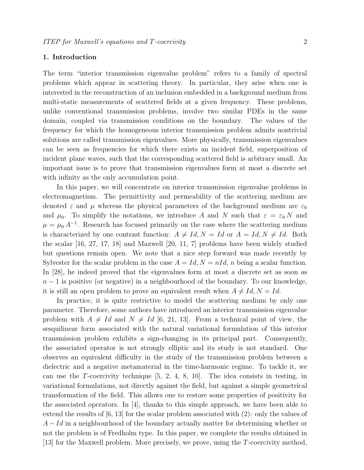#### 1. Introduction

The term "interior transmission eigenvalue problem" refers to a family of spectral problems which appear in scattering theory. In particular, they arise when one is interested in the reconstruction of an inclusion embedded in a background medium from multi-static measurements of scattered fields at a given frequency. These problems, unlike conventional transmission problems, involve two similar PDEs in the same domain, coupled via transmission conditions on the boundary. The values of the frequency for which the homogeneous interior transmission problem admits nontrivial solutions are called transmission eigenvalues. More physically, transmission eigenvalues can be seen as frequencies for which there exists an incident field, superposition of incident plane waves, such that the corresponding scattered field is arbitrary small. An important issue is to prove that transmission eigenvalues form at most a discrete set with infinity as the only accumulation point.

In this paper, we will concentrate on interior transmission eigenvalue problems in electromagnetism. The permittivity and permeability of the scattering medium are denoted  $\varepsilon$  and  $\mu$  whereas the physical parameters of the background medium are  $\varepsilon_0$ and  $\mu_0$ . To simplify the notations, we introduce A and N such that  $\varepsilon = \varepsilon_0 N$  and  $\mu = \mu_0 A^{-1}$ . Research has focused primarily on the case where the scattering medium is characterized by one contrast function:  $A \neq Id, N = Id$  or  $A = Id, N \neq Id$ . Both the scalar [16, 27, 17, 18] and Maxwell [20, 11, 7] problems have been widely studied but questions remain open. We note that a nice step forward was made recently by Sylvester for the scalar problem in the case  $A = Id, N = nId, n$  being a scalar function. In [28], he indeed proved that the eigenvalues form at most a discrete set as soon as  $n-1$  is positive (or negative) in a neighbourhood of the boundary. To our knowledge, it is still an open problem to prove an equivalent result when  $A \neq Id, N = Id$ .

In practice, it is quite restrictive to model the scattering medium by only one parameter. Therefore, some authors have introduced an interior transmission eigenvalue problem with  $A \neq Id$  and  $N \neq Id$  [6, 21, 13]. From a technical point of view, the sesquilinear form associated with the natural variational formulation of this interior transmission problem exhibits a sign-changing in its principal part. Consequently, the associated operator is not strongly elliptic and its study is not standard. One observes an equivalent difficulty in the study of the transmission problem between a dielectric and a negative metamaterial in the time-harmonic regime. To tackle it, we can use the T-coercivity technique [5, 2, 4, 8, 10]. The idea consists in testing, in variational formulations, not directly against the field, but against a simple geometrical transformation of the field. This allows one to restore some properties of positivity for the associated operators. In [4], thanks to this simple approach, we have been able to extend the results of [6, 13] for the scalar problem associated with (2): only the values of  $A - Id$  in a neighbourhood of the boundary actually matter for determining whether or not the problem is of Fredholm type. In this paper, we complete the results obtained in [13] for the Maxwell problem. More precisely, we prove, using the T-coercivity method,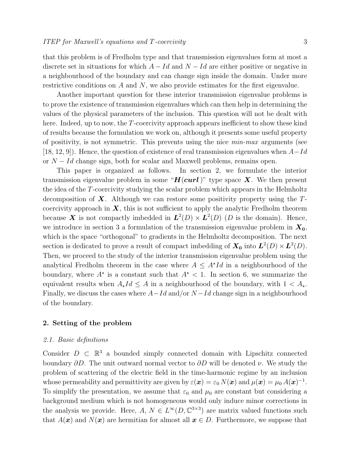that this problem is of Fredholm type and that transmission eigenvalues form at most a discrete set in situations for which  $A - Id$  and  $N - Id$  are either positive or negative in a neighbourhood of the boundary and can change sign inside the domain. Under more restrictive conditions on  $A$  and  $N$ , we also provide estimates for the first eigenvalue.

Another important question for these interior transmission eigenvalue problems is to prove the existence of transmission eigenvalues which can then help in determining the values of the physical parameters of the inclusion. This question will not be dealt with here. Indeed, up to now, the T-coercivity approach appears inefficient to show these kind of results because the formulation we work on, although it presents some useful property of positivity, is not symmetric. This prevents using the nice min-max arguments (see [18, 12, 9]). Hence, the question of existence of real transmission eigenvalues when  $A-Id$ or  $N - Id$  change sign, both for scalar and Maxwell problems, remains open.

This paper is organized as follows. In section 2, we formulate the interior transmission eigenvalue problem in some " $H(curl)$ " type space X. We then present the idea of the T-coercivity studying the scalar problem which appears in the Helmholtz decomposition of  $X$ . Although we can restore some positivity property using the  $T$ coercivity approach in  $X$ , this is not sufficient to apply the analytic Fredholm theorem because X is not compactly imbedded in  $\mathbf{L}^2(D) \times \mathbf{L}^2(D)$  (D is the domain). Hence, we introduce in section 3 a formulation of the transmission eigenvalue problem in  $X_0$ , which is the space "orthogonal" to gradients in the Helmholtz decomposition. The next section is dedicated to prove a result of compact imbedding of  $X_0$  into  $L^2(D) \times L^2(D)$ . Then, we proceed to the study of the interior transmission eigenvalue problem using the analytical Fredholm theorem in the case where  $A \leq A^{\star}Id$  in a neighbourhood of the boundary, where  $A^*$  is a constant such that  $A^*$  < 1. In section 6, we summarize the equivalent results when  $A_{\star}Id \leq A$  in a neighbourhood of the boundary, with  $1 \leq A_{\star}$ . Finally, we discuss the cases where  $A - Id$  and/or  $N - Id$  change sign in a neighbourhood of the boundary.

# 2. Setting of the problem

#### 2.1. Basic definitions

Consider  $D \subset \mathbb{R}^3$  a bounded simply connected domain with Lipschitz connected boundary  $\partial D$ . The unit outward normal vector to  $\partial D$  will be denoted  $\nu$ . We study the problem of scattering of the electric field in the time-harmonic regime by an inclusion whose permeability and permittivity are given by  $\varepsilon(\bm{x}) = \varepsilon_0 N(\bm{x})$  and  $\mu(\bm{x}) = \mu_0 A(\bm{x})^{-1}$ . To simplify the presentation, we assume that  $\varepsilon_0$  and  $\mu_0$  are constant but considering a background medium which is not homogeneous would only induce minor corrections in the analysis we provide. Here,  $A, N \in L^{\infty}(D, \mathbb{C}^{3 \times 3})$  are matrix valued functions such that  $A(\mathbf{x})$  and  $N(\mathbf{x})$  are hermitian for almost all  $\mathbf{x} \in D$ . Furthermore, we suppose that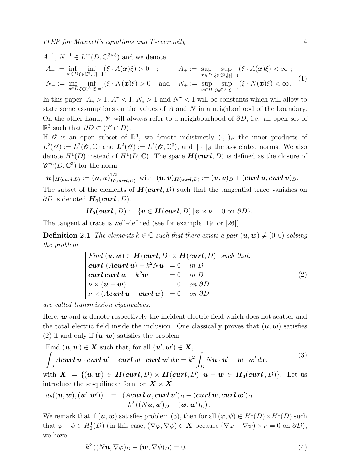$1/2$ 

$$
A^{-1}, N^{-1} \in L^{\infty}(D, \mathbb{C}^{3\times 3}) \text{ and we denote}
$$
  
\n
$$
A_{-} := \inf_{\mathbf{x} \in D} \inf_{\xi \in \mathbb{C}^{3}, |\xi|=1} (\xi \cdot A(\mathbf{x})\overline{\xi}) > 0 \quad ; \qquad A_{+} := \sup_{\mathbf{x} \in D} \sup_{\xi \in \mathbb{C}^{3}, |\xi|=1} (\xi \cdot A(\mathbf{x})\overline{\xi}) < \infty ;
$$
  
\n
$$
N_{-} := \inf_{\mathbf{x} \in D} \inf_{\xi \in \mathbb{C}^{3}, |\xi|=1} (\xi \cdot N(\mathbf{x})\overline{\xi}) > 0 \quad \text{and} \quad N_{+} := \sup_{\mathbf{x} \in D} \sup_{\xi \in \mathbb{C}^{3}, |\xi|=1} (\xi \cdot N(\mathbf{x})\overline{\xi}) < \infty.
$$
  
\n(1)

In this paper,  $A_{\star} > 1$ ,  $A^{\star} < 1$ ,  $N_{\star} > 1$  and  $N^{\star} < 1$  will be constants which will allow to state some assumptions on the values of A and N in a neighborhood of the boundary. On the other hand,  $\mathscr V$  will always refer to a neighbourhood of  $\partial D$ , i.e. an open set of  $\mathbb{R}^3$  such that  $\partial D \subset (\mathscr{V} \cap \overline{D}).$ 

If  $\mathscr O$  is an open subset of  $\mathbb R^3$ , we denote indistinctly  $(\cdot, \cdot)_{\mathscr O}$  the inner products of  $L^2(\mathscr{O}) := L^2(\mathscr{O}, \mathbb{C})$  and  $\mathbf{L}^2(\mathscr{O}) := L^2(\mathscr{O}, \mathbb{C}^3)$ , and  $\|\cdot\|_{\mathscr{O}}$  the associated norms. We also denote  $H^1(D)$  instead of  $H^1(D, \mathbb{C})$ . The space  $\boldsymbol{H}(\boldsymbol{curl}, D)$  is defined as the closure of  $\mathscr{C}^{\infty}(\overline{D}, \mathbb{C}^3)$  for the norm

$$
\|\bm{u}\|_{\bm{H}(\bm{curl},D)} := (\bm{u},\bm{u})_{\bm{H}(\bm{curl},D)}^{1/2} \;\; \text{with} \;\; (\bm{u},\bm{v})_{\bm{H}(\bm{curl},D)} := (\bm{u},\bm{v})_D + (\bm{curl}\,\bm{u},\bm{curl}\,\bm{v})_D.
$$

The subset of the elements of  $H(curl, D)$  such that the tangential trace vanishes on  $\partial D$  is denoted  $H_0$ (*curl*, *D*).

$$
H_0(\mathbf{curl}\, ,D):=\{\mathbf{v}\in \mathbf{H}(\mathbf{curl},D)\,|\,\mathbf{v}\times\mathbf{v}=0\,\,\text{on}\,\,\partial D\}.
$$

The tangential trace is well-defined (see for example [19] or [26]).

**Definition 2.1** The elements  $k \in \mathbb{C}$  such that there exists a pair  $(u, w) \neq (0, 0)$  solving the problem

Find 
$$
(\mathbf{u}, \mathbf{w}) \in \mathbf{H}(\mathbf{curl}, D) \times \mathbf{H}(\mathbf{curl}, D)
$$
 such that:  
\n
$$
\begin{aligned}\n\mathbf{curl} \ (A\mathbf{curl} \ \mathbf{u}) - k^2 N \mathbf{u} &= 0 \quad \text{in } D \\
\mathbf{curl} \ \mathbf{curl} \ \mathbf{w} - k^2 \mathbf{w} &= 0 \quad \text{in } D \\
\nu \times (\mathbf{u} - \mathbf{w}) &= 0 \quad \text{on } \partial D \\
\nu \times (A\mathbf{curl} \ \mathbf{u} - \mathbf{curl} \ \mathbf{w}) &= 0 \quad \text{on } \partial D\n\end{aligned} \tag{2}
$$

are called transmission eigenvalues.

Here,  $w$  and  $u$  denote respectively the incident electric field which does not scatter and the total electric field inside the inclusion. One classically proves that  $(u, w)$  satisfies (2) if and only if  $(u, w)$  satisfies the problem

Find 
$$
(\mathbf{u}, \mathbf{w}) \in \mathbf{X}
$$
 such that, for all  $(\mathbf{u}', \mathbf{w}') \in \mathbf{X}$ ,  
\n
$$
\int_D A \mathbf{curl} \, \mathbf{u} \cdot \mathbf{curl} \, \mathbf{u}' - \mathbf{curl} \, \mathbf{w} \cdot \mathbf{curl} \, \mathbf{w}' \, d\mathbf{x} = k^2 \int_D N \mathbf{u} \cdot \mathbf{u}' - \mathbf{w} \cdot \mathbf{w}' \, d\mathbf{x},
$$
\n(3)

with  $X := \{(u, w) \in H(\text{curl}, D) \times H(\text{curl}, D) | u - w \in H_0(\text{curl}, D) \}.$  Let us introduce the sesquilinear form on  $X \times X$ 

$$
a_k((\boldsymbol{u},\boldsymbol{w}),(\boldsymbol{u}',\boldsymbol{w}')) \ := \ (\boldsymbol{A}\boldsymbol{curl}\,\boldsymbol{u},\boldsymbol{curl}\,\boldsymbol{u}')_D - (\boldsymbol{curl}\,\boldsymbol{w},\boldsymbol{curl}\,\boldsymbol{w}')_D \\ \ -k^2\,((N\boldsymbol{u},\boldsymbol{u}')_D - (\boldsymbol{w},\boldsymbol{w}')_D)\,.
$$

We remark that if  $(u, w)$  satisfies problem (3), then for all  $(\varphi, \psi) \in H^1(D) \times H^1(D)$  such that  $\varphi - \psi \in H_0^1(D)$  (in this case,  $(\nabla \varphi, \nabla \psi) \in \mathbf{X}$  because  $(\nabla \varphi - \nabla \psi) \times \nu = 0$  on  $\partial D$ ), we have

$$
k^{2} ((N\boldsymbol{u}, \nabla \varphi)_{D} - (\boldsymbol{w}, \nabla \psi)_{D}) = 0.
$$
\n<sup>(4)</sup>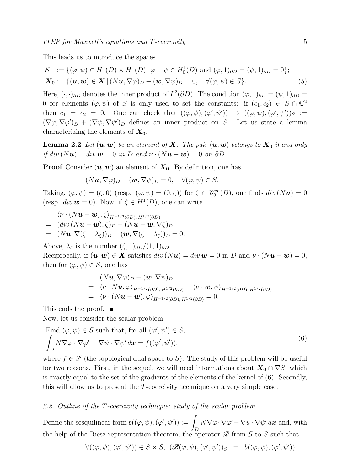This leads us to introduce the spaces

$$
S := \{(\varphi, \psi) \in H^1(D) \times H^1(D) \mid \varphi - \psi \in H_0^1(D) \text{ and } (\varphi, 1)_{\partial D} = (\psi, 1)_{\partial D} = 0\};
$$
  

$$
\mathbf{X_0} := \{(\mathbf{u}, \mathbf{w}) \in \mathbf{X} \mid (N\mathbf{u}, \nabla \varphi)_D - (\mathbf{w}, \nabla \psi)_D = 0, \quad \forall (\varphi, \psi) \in S\}.
$$
 (5)

Here,  $(\cdot, \cdot)_{\partial D}$  denotes the inner product of  $L^2(\partial D)$ . The condition  $(\varphi, 1)_{\partial D} = (\psi, 1)_{\partial D}$ 0 for elements  $(\varphi, \psi)$  of S is only used to set the constants: if  $(c_1, c_2) \in S \cap \mathbb{C}^2$ then  $c_1 = c_2 = 0$ . One can check that  $((\varphi, \psi), (\varphi', \psi')) \mapsto ((\varphi, \psi), (\varphi', \psi'))_S :=$  $(\nabla\varphi,\nabla\varphi')_D$  +  $(\nabla\psi,\nabla\psi')_D$  defines an inner product on S. Let us state a lemma characterizing the elements of  $X_0$ .

**Lemma 2.2** Let  $(u, w)$  be an element of **X**. The pair  $(u, w)$  belongs to  $X_0$  if and only if div  $(Nu) = div w = 0$  in D and  $\nu \cdot (Nu - w) = 0$  on  $\partial D$ .

**Proof** Consider  $(u, w)$  an element of  $X_0$ . By definition, one has

$$
(N\mathbf{u}, \nabla \varphi)_D - (\mathbf{w}, \nabla \psi)_D = 0, \quad \forall (\varphi, \psi) \in S.
$$

Taking,  $(\varphi, \psi) = (\zeta, 0)$  (resp.  $(\varphi, \psi) = (0, \zeta)$ ) for  $\zeta \in \mathscr{C}_0^{\infty}(D)$ , one finds  $div(N\mathbf{u}) = 0$ (resp.  $div \mathbf{w} = 0$ ). Now, if  $\zeta \in H^1(D)$ , one can write

$$
\langle \nu \cdot (N\boldsymbol{u} - \boldsymbol{w}), \zeta \rangle_{H^{-1/2}(\partial D), H^{1/2}(\partial D)}
$$
\n
$$
= (div (N\boldsymbol{u} - \boldsymbol{w}), \zeta)_D + (N\boldsymbol{u} - \boldsymbol{w}, \nabla \zeta)_D
$$
\n
$$
= (N\boldsymbol{u}, \nabla(\zeta - \lambda_{\zeta}))_D - (\boldsymbol{w}, \nabla(\zeta - \lambda_{\zeta}))_D = 0
$$

Above,  $\lambda_{\zeta}$  is the number  $(\zeta, 1)_{\partial D}/(1, 1)_{\partial D}$ . Reciprocally, if  $(\mathbf{u}, \mathbf{w}) \in \mathbf{X}$  satisfies  $div(N\mathbf{u}) = div \mathbf{w} = 0$  in D and  $\nu \cdot (N\mathbf{u} - \mathbf{w}) = 0$ , then for  $(\varphi, \psi) \in S$ , one has

$$
(Nu, \nabla \varphi)D - (w, \nabla \psi)D= \langle \nu \cdot Nu, \varphi \rangleH^{-1/2}(\partial D), H^{1/2}(\partial D) - \langle \nu \cdot \mathbf{w}, \psi \rangleH^{-1/2}(\partial D), H^{1/2}(\partial D)
$$
  
= \langle \nu \cdot (N**u** - **w**), \varphi \rangle<sub>H^{-1/2}(\partial D), H^{1/2}(\partial D) = 0.</sub>

This ends the proof.  $\blacksquare$ 

Now, let us consider the scalar problem

Find 
$$
(\varphi, \psi) \in S
$$
 such that, for all  $(\varphi', \psi') \in S$ ,  
\n
$$
\int_D N \nabla \varphi \cdot \overline{\nabla \varphi'} - \nabla \psi \cdot \overline{\nabla \psi'} d\mathbf{x} = f((\varphi', \psi')),
$$
\n(6)

where  $f \in S'$  (the topological dual space to S). The study of this problem will be useful for two reasons. First, in the sequel, we will need informations about  $X_0 \cap \nabla S$ , which is exactly equal to the set of the gradients of the elements of the kernel of (6). Secondly, this will allow us to present the T-coercivity technique on a very simple case.

#### 2.2. Outline of the T-coercivity technique: study of the scalar problem

Define the sesquilinear form  $b((\varphi, \psi), (\varphi', \psi')) :=$ D  $N\nabla\varphi\cdot\overline{\nabla\varphi'}-\nabla\psi\cdot\overline{\nabla\psi'}\,d\boldsymbol{x} \,\,\text{and, with}$ the help of the Riesz representation theorem, the operator  $\mathscr B$  from S to S such that,

$$
\forall ((\varphi, \psi), (\varphi', \psi')) \in S \times S, \ (\mathscr{B}(\varphi, \psi), (\varphi', \psi'))_S \ = \ b((\varphi, \psi), (\varphi', \psi')).
$$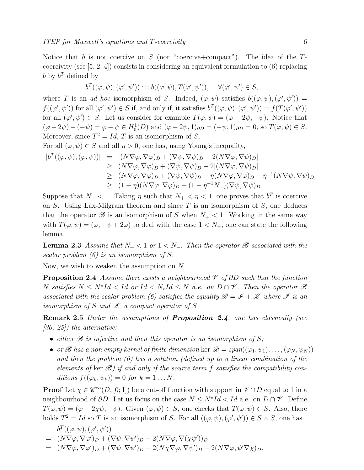Notice that b is not coercive on S (nor "coercive+compact"). The idea of the  $T$ coercivity (see  $[5, 2, 4]$ ) consists in considering an equivalent formulation to  $(6)$  replacing b by  $b^T$  defined by

$$
b^T((\varphi,\psi),(\varphi',\psi')):=b((\varphi,\psi),T(\varphi',\psi')), \quad \forall (\varphi',\psi')\in S,
$$

where T is an ad hoc isomorphism of S. Indeed,  $(\varphi, \psi)$  satisfies  $b((\varphi, \psi), (\varphi', \psi')) =$  $f((\varphi', \psi'))$  for all  $(\varphi', \psi') \in S$  if, and only if, it satisfies  $b^T((\varphi, \psi), (\varphi', \psi')) = f(T(\varphi', \psi'))$ for all  $(\varphi', \psi') \in S$ . Let us consider for example  $T(\varphi, \psi) = (\varphi - 2\psi, -\psi)$ . Notice that  $(\varphi - 2\psi) - (-\psi) = \varphi - \psi \in H_0^1(D)$  and  $(\varphi - 2\psi, 1)_{\partial D} = (-\psi, 1)_{\partial D} = 0$ , so  $T(\varphi, \psi) \in S$ . Moreover, since  $T^2 = Id$ , T is an isomorphism of S.

For all  $(\varphi, \psi) \in S$  and all  $\eta > 0$ , one has, using Young's inequality,

$$
|b^T((\varphi, \psi), (\varphi, \psi))| = |(N\nabla \varphi, \nabla \varphi)_D + (\nabla \psi, \nabla \psi)_D - 2(N\nabla \varphi, \nabla \psi)_D|
$$
  
\n
$$
\geq (N\nabla \varphi, \nabla \varphi)_D + (\nabla \psi, \nabla \psi)_D - 2|(N\nabla \varphi, \nabla \psi)_D|
$$
  
\n
$$
\geq (N\nabla \varphi, \nabla \varphi)_D + (\nabla \psi, \nabla \psi)_D - \eta(N\nabla \varphi, \nabla \varphi)_D - \eta^{-1}(N\nabla \psi, \nabla \psi)_D
$$
  
\n
$$
\geq (1 - \eta)(N\nabla \varphi, \nabla \varphi)_D + (1 - \eta^{-1}N_+)(\nabla \psi, \nabla \psi)_D.
$$

Suppose that  $N_+ < 1$ . Taking  $\eta$  such that  $N_+ < \eta < 1$ , one proves that  $b^T$  is coercive on  $S$ . Using Lax-Milgram theorem and since  $T$  is an isomorphism of  $S$ , one deduces that the operator  $\mathscr B$  is an isomorphism of S when  $N_+ < 1$ . Working in the same way with  $T(\varphi, \psi) = (\varphi, -\psi + 2\varphi)$  to deal with the case  $1 < N_-,$  one can state the following lemma.

**Lemma 2.3** Assume that  $N_+ < 1$  or  $1 < N_-$ . Then the operator  $\mathscr B$  associated with the scalar problem (6) is an isomorphism of S.

Now, we wish to weaken the assumption on N.

**Proposition 2.4** Assume there exists a neighbourhood  $\mathcal V$  of ∂D such that the function N satisfies  $N \leq N^*Id < Id$  or  $Id < N_*Id \leq N$  a.e. on  $D \cap \mathscr{V}$ . Then the operator  $\mathscr{B}$ associated with the scalar problem (6) satisfies the equality  $\mathscr{B} = \mathscr{I} + \mathscr{K}$  where  $\mathscr{I}$  is an isomorphism of S and  $\mathscr K$  a compact operator of S.

Remark 2.5 Under the assumptions of Proposition 2.4, one has classically (see  $[30, 25]$  the alternative:

- either  $\mathscr B$  is injective and then this operator is an isomorphism of S;
- or B has a non empty kernel of finite dimension ker  $\mathscr{B} = span((\varphi_1, \psi_1), \ldots, (\varphi_N, \psi_N))$ and then the problem (6) has a solution (defined up to a linear combination of the elements of ker  $\mathscr{B}$ ) if and only if the source term f satisfies the compatibility conditions  $f((\varphi_k, \psi_k)) = 0$  for  $k = 1 \dots N$ .

**Proof** Let  $\chi \in \mathscr{C}^{\infty}(\overline{D}, [0; 1])$  be a cut-off function with support in  $\mathscr{V} \cap \overline{D}$  equal to 1 in a neighbourhood of  $\partial D$ . Let us focus on the case  $N \leq N^*Id < Id$  a.e. on  $D \cap \mathscr{V}$ . Define  $T(\varphi, \psi) = (\varphi - 2\chi\psi, -\psi)$ . Given  $(\varphi, \psi) \in S$ , one checks that  $T(\varphi, \psi) \in S$ . Also, there holds  $T^2 = Id$  so T is an isomorphism of S. For all  $((\varphi, \psi), (\varphi', \psi')) \in S \times S$ , one has

$$
b^T((\varphi, \psi), (\varphi', \psi'))
$$
  
=  $(N\nabla \varphi, \nabla \varphi')_D + (\nabla \psi, \nabla \psi')_D - 2(N\nabla \varphi, \nabla (\chi \psi'))_D$   
=  $(N\nabla \varphi, \nabla \varphi')_D + (\nabla \psi, \nabla \psi')_D - 2(N\nabla \varphi, \nabla \psi')_D - 2(N\nabla \varphi, \psi' \nabla \chi)_D.$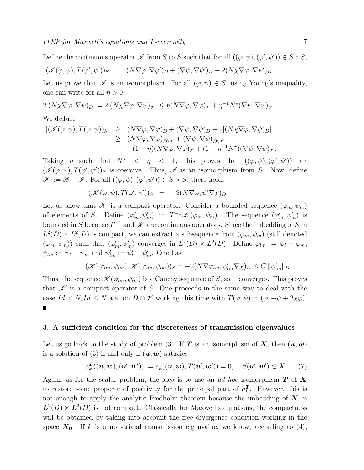Define the continuous operator  $\mathscr I$  from S to S such that for all  $((\varphi, \psi), (\varphi', \psi')) \in S \times S$ ,

$$
(\mathscr{I}(\varphi,\psi),T(\varphi',\psi'))_S \hspace{2mm} = \hspace{2mm} (N\nabla \varphi,\nabla \varphi')_D + (\nabla \psi,\nabla \psi')_D - 2(N\chi \nabla \varphi,\nabla \psi')_D.
$$

Let us prove that  $\mathscr I$  is an isomorphism. For all  $(\varphi, \psi) \in S$ , using Young's inequality, one can write for all  $\eta > 0$ 

$$
2|(N\chi\nabla\varphi,\nabla\psi)_D|=2|(N\chi\nabla\varphi,\nabla\psi)_\mathscr{V}|\leq \eta(N\nabla\varphi,\nabla\varphi)_\mathscr{V}+\eta^{-1}N^\star(\nabla\psi,\nabla\psi)_\mathscr{V}.
$$

#### We deduce

$$
\begin{array}{rcl} |(\mathscr{I}(\varphi,\psi),T(\varphi,\psi))_{S}| & \geq & (N\nabla\varphi,\nabla\varphi)_{D} + (\nabla\psi,\nabla\psi)_{D} - 2|(N\chi\nabla\varphi,\nabla\psi)_{D}| \\ & \geq & (N\nabla\varphi,\nabla\varphi)_{D\setminus\overline{\varphi}} + (\nabla\psi,\nabla\psi)_{D\setminus\overline{\varphi}} \\ & + (1-\eta)(N\nabla\varphi,\nabla\varphi)_{\mathscr{Y}} + (1-\eta^{-1}N^{\star})(\nabla\psi,\nabla\psi)_{\mathscr{Y}}. \end{array}
$$

Taking  $\eta$  such that  $N^* < \eta < 1$ , this proves that  $((\varphi, \psi), (\varphi', \psi')) \mapsto$  $(\mathscr{I}(\varphi,\psi),T(\varphi',\psi'))_S$  is coercive. Thus,  $\mathscr{I}$  is an isomorphism from S. Now, define  $\mathscr{K} := \mathscr{B} - \mathscr{I}$ . For all  $((\varphi, \psi), (\varphi', \psi')) \in S \times S$ , there holds

$$
(\mathscr{K}(\varphi,\psi),T(\varphi',\psi'))_{S} = -2(N\nabla\varphi,\psi'\nabla\chi)_{D}.
$$

Let us show that  $\mathscr K$  is a compact operator. Consider a bounded sequence  $(\varphi_m, \psi_m)$ of elements of S. Define  $(\varphi'_m, \psi'_m) := T^{-1} \mathscr{K}(\varphi_m, \psi_m)$ . The sequence  $(\varphi'_m, \psi'_m)$  is bounded in S because  $T^{-1}$  and  $\mathscr K$  are continuous operators. Since the imbedding of S in  $L^2(D) \times L^2(D)$  is compact, we can extract a subsequence from  $(\varphi_m, \psi_m)$  (still denoted  $(\varphi_m, \psi_m)$  such that  $(\varphi'_m, \psi'_m)$  converges in  $L^2(D) \times L^2(D)$ . Define  $\varphi_{lm} := \varphi_l - \varphi_m$ ,  $\psi_{lm} := \psi_l - \psi_m$  and  $\psi'_{lm} := \psi'_l - \psi'_m$ . One has

$$
(\mathscr{K}(\varphi_{lm}, \psi_{lm}), \mathscr{K}(\varphi_{lm}, \psi_{lm}))_S = -2(N\nabla \varphi_{lm}, \psi'_{lm}\nabla \chi)_D \le C ||\psi'_{lm}||_D.
$$

Thus, the sequence  $\mathscr{K}(\varphi_{lm}, \psi_{lm})$  is a Cauchy sequence of S, so it converges. This proves that  $K$  is a compact operator of S. One proceeds in the same way to deal with the case  $Id \le N_{\star}Id \le N$  a.e. on  $D \cap \mathscr{V}$  working this time with  $T(\varphi, \psi) = (\varphi, -\psi + 2\chi\varphi)$ . Г

#### 3. A sufficient condition for the discreteness of transmission eigenvalues

Let us go back to the study of problem (3). If T is an isomorphism of  $X$ , then  $(u, w)$ is a solution of (3) if and only if  $(u, w)$  satisfies

$$
a_k^{\text{T}}((\textbf{u},\textbf{w}),(\textbf{u}',\textbf{w}')) := a_k((\textbf{u},\textbf{w}),\textbf{T}(\textbf{u}',\textbf{w}')) = 0, \quad \forall (\textbf{u}',\textbf{w}') \in \textbf{X}.
$$
 (7)

Again, as for the scalar problem, the idea is to use an ad hoc isomorphism  $T$  of  $X$ to restore some property of positivity for the principal part of  $a_k^T$ . However, this is not enough to apply the analytic Fredholm theorem because the imbedding of  $X$  in  $\mathbf{L}^2(D) \times \mathbf{L}^2(D)$  is not compact. Classically for Maxwell's equations, the compactness will be obtained by taking into account the free divergence condition working in the space  $X_0$ . If k is a non-trivial transmission eigenvalue, we know, according to (4),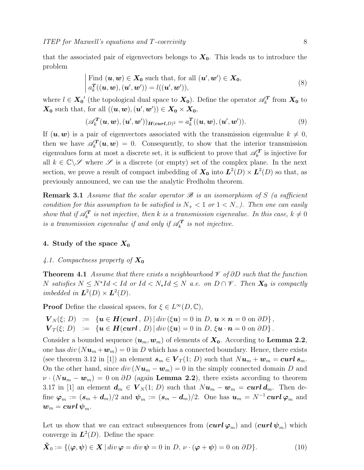Find 
$$
(\mathbf{u}, \mathbf{w}) \in \mathbf{X_0}
$$
 such that, for all  $(\mathbf{u}', \mathbf{w}') \in \mathbf{X_0}$ ,  
\n
$$
a_k^T((\mathbf{u}, \mathbf{w}), (\mathbf{u}', \mathbf{w}')) = l((\mathbf{u}', \mathbf{w}'))
$$
\n(8)

where  $l \in X_0'$  (the topological dual space to  $X_0$ ). Define the operator  $\mathscr{A}_k^T$  from  $X_0$  to  $\mathbf{X_0}$  such that, for all  $((\mathbf{u}, \mathbf{w}),(\mathbf{u}', \mathbf{w}')) \in \mathbf{X_0} \times \mathbf{X_0}$ ,

$$
(\mathscr{A}_k^{\mathbf{T}}(\boldsymbol{u},\boldsymbol{w}),(\boldsymbol{u}',\boldsymbol{w}'))_{\mathbf{H}(\boldsymbol{curl},D)^2} = a_k^{\mathbf{T}}((\boldsymbol{u},\boldsymbol{w}),(\boldsymbol{u}',\boldsymbol{w}')).
$$
 (9)

If  $(\boldsymbol{u}, \boldsymbol{w})$  is a pair of eigenvectors associated with the transmission eigenvalue  $k \neq 0$ , then we have  $\mathscr{A}_k^T(\boldsymbol{u},\boldsymbol{w}) = 0$ . Consequently, to show that the interior transmission eigenvalues form at most a discrete set, it is sufficient to prove that  $\mathscr{A}_{k}^{T}$  is injective for all  $k \in \mathbb{C} \setminus \mathscr{S}$  where  $\mathscr{S}$  is a discrete (or empty) set of the complex plane. In the next section, we prove a result of compact imbedding of  $X_0$  into  $L^2(D) \times L^2(D)$  so that, as previously announced, we can use the analytic Fredholm theorem.

**Remark 3.1** Assume that the scalar operator  $\mathscr B$  is an isomorphism of S (a sufficient condition for this assumption to be satisfied is  $N_{+}$  < 1 or 1 < N<sub>-</sub>). Then one can easily show that if  $\mathscr{A}_{k}^{T}$  is not injective, then k is a transmission eigenvalue. In this case,  $k \neq 0$ is a transmission eigenvalue if and only if  $\mathscr{A}_{k}^{T}$  is not injective.

## 4. Study of the space  $X_0$

#### 4.1. Compactness property of  $X_0$

**Theorem 4.1** Assume that there exists a neighbourhood  $\mathcal V$  of  $\partial D$  such that the function N satisfies  $N \leq N^{\star}Id < Id$  or  $Id < N_{\star}Id \leq N$  a.e. on  $D \cap \mathscr{V}$ . Then  $X_0$  is compactly imbedded in  $\mathbf{L}^2(D) \times \mathbf{L}^2(D)$ .

**Proof** Define the classical spaces, for  $\xi \in L^{\infty}(D, \mathbb{C}),$ 

 $\mathbf{V}_N(\xi; D) := \{ \mathbf{u} \in \mathbf{H}(\mathbf{curl}, D) \, | \, div(\xi \mathbf{u}) = 0 \text{ in } D, \, \mathbf{u} \times \mathbf{n} = 0 \text{ on } \partial D \},\$ 

$$
\mathbf{V}_T(\xi; D) \quad := \quad \{ \mathbf{u} \in \mathbf{H}(\mathbf{curl}\, ,\, D) \, | \, \mathrm{div}\,(\xi\mathbf{u}) = 0 \, \mathrm{in} \, \, D, \, \xi\mathbf{u} \cdot \mathbf{n} = 0 \, \mathrm{on} \, \partial D \} \, .
$$

Consider a bounded sequence  $(\boldsymbol{u}_m, \boldsymbol{w}_m)$  of elements of  $\boldsymbol{X_0}$ . According to **Lemma 2.2**, one has  $div(Nu_m + w_m) = 0$  in D which has a connected boundary. Hence, there exists (see theorem 3.12 in [1]) an element  $s_m \in V_T(1; D)$  such that  $Nu_m + w_m = \text{curl } s_m$ . On the other hand, since  $div (N\mathbf{u}_m - \mathbf{w}_m) = 0$  in the simply connected domain D and  $\nu \cdot (Nu_m - w_m) = 0$  on  $\partial D$  (again Lemma 2.2), there exists according to theorem 3.17 in [1] an element  $d_m \in V_N(1; D)$  such that  $Nu_m - w_m = \text{curl } d_m$ . Then define  $\varphi_m := (s_m + d_m)/2$  and  $\psi_m := (s_m - d_m)/2$ . One has  $u_m = N^{-1} \operatorname{curl} \varphi_m$  and  $w_m = \boldsymbol{curl}\,\boldsymbol{\psi}_m.$ 

Let us show that we can extract subsequences from  $(\operatorname{curl} \varphi_m)$  and  $(\operatorname{curl} \psi_m)$  which converge in  $\mathcal{L}^2(D)$ . Define the space

$$
\tilde{\boldsymbol{X}}_0 := \{ (\boldsymbol{\varphi}, \boldsymbol{\psi}) \in \boldsymbol{X} \mid \operatorname{div} \boldsymbol{\varphi} = \operatorname{div} \boldsymbol{\psi} = 0 \text{ in } D, \nu \cdot (\boldsymbol{\varphi} + \boldsymbol{\psi}) = 0 \text{ on } \partial D \}. \tag{10}
$$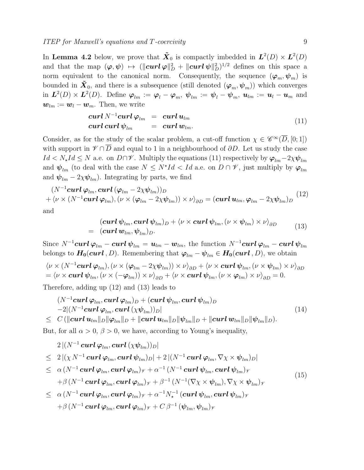In Lemma 4.2 below, we prove that  $\tilde{\mathbf{X}}_0$  is compactly imbedded in  $\mathbf{L}^2(D) \times \mathbf{L}^2(D)$ and that the map  $(\varphi, \psi) \mapsto (||curl \varphi||_D^2 + ||curl \psi||_D^2)^{1/2}$  defines on this space a norm equivalent to the canonical norm. Consequently, the sequence  $(\varphi_m, \psi_m)$  is bounded in  $\tilde{\mathbf{X}}_0$ , and there is a subsequence (still denoted  $(\varphi_m, \psi_m)$ ) which converges in  $\bm{L}^2(D)\times\bm{L}^2(D)$ . Define  $\bm{\varphi}_{lm}:=\bm{\varphi}_l-\bm{\varphi}_m, \ \bm{\psi}_{lm}:=\bm{\psi}_l-\bm{\psi}_m, \ \bm{u}_{lm}:=\bm{u}_l-\bm{u}_m$  and  $\mathbf{w}_{lm} := \mathbf{w}_l - \mathbf{w}_m$ . Then, we write

$$
\begin{array}{rcl}\n\boldsymbol{curl} \, \boldsymbol{N}^{-1} \boldsymbol{curl} \, \boldsymbol{\varphi}_{lm} & = & \boldsymbol{curl} \, \boldsymbol{u}_{lm} \\
\boldsymbol{curl} \, \boldsymbol{curl} \, \boldsymbol{\psi}_{lm} & = & \boldsymbol{curl} \, \boldsymbol{w}_{lm}.\n\end{array} \tag{11}
$$

Consider, as for the study of the scalar problem, a cut-off function  $\chi \in \mathscr{C}^{\infty}(\overline{D}, [0; 1])$ with support in  $\mathscr{V} \cap \overline{D}$  and equal to 1 in a neighbourhood of  $\partial D$ . Let us study the case  $Id \leq N_{\star}Id \leq N$  a.e. on  $D\cap V$ . Multiply the equations (11) respectively by  $\varphi_{lm}$  - 2χ $\psi_{lm}$ and  $\psi_{lm}$  (to deal with the case  $N \leq N^{\star}Id < Id$  a.e. on  $D \cap \mathscr{V}$ , just multiply by  $\varphi_{lm}$ and  $\psi_{lm} - 2\chi \psi_{lm}$ ). Integrating by parts, we find

$$
(N^{-1}\mathbf{curl}\,\boldsymbol{\varphi}_{lm},\mathbf{curl}\,(\boldsymbol{\varphi}_{lm}-2\chi\boldsymbol{\psi}_{lm}))_D
$$
  
+ $\langle \nu \times (N^{-1}\mathbf{curl}\,\boldsymbol{\varphi}_{lm}), (\nu \times (\boldsymbol{\varphi}_{lm}-2\chi\boldsymbol{\psi}_{lm})) \times \nu \rangle_{\partial D} = (\mathbf{curl}\,\boldsymbol{u}_{lm},\boldsymbol{\varphi}_{lm}-2\chi\boldsymbol{\psi}_{lm})_D$  (12)

and

$$
(\boldsymbol{curl}\,\boldsymbol{\psi}_{lm},\boldsymbol{curl}\,\boldsymbol{\psi}_{lm})_D + \langle \nu \times \boldsymbol{curl}\,\boldsymbol{\psi}_{lm},(\nu \times \boldsymbol{\psi}_{lm}) \times \nu \rangle_{\partial D} = (\boldsymbol{curl}\,\boldsymbol{w}_{lm},\boldsymbol{\psi}_{lm})_D.
$$
 (13)

Since  $N^{-1}$ curl  $\varphi_{lm}$  – curl  $\psi_{lm} = u_{lm} - w_{lm}$ , the function  $N^{-1}$ curl  $\varphi_{lm}$  – curl  $\psi_{lm}$ belongs to  $H_0(curl, D)$ . Remembering that  $\varphi_{lm} - \psi_{lm} \in H_0(curl, D)$ , we obtain

$$
\langle \nu \times (N^{-1} \mathbf{curl} \, \boldsymbol{\varphi}_{lm}), (\nu \times (\boldsymbol{\varphi}_{lm} - 2\chi \boldsymbol{\psi}_{lm})) \times \nu \rangle_{\partial D} + \langle \nu \times \mathbf{curl} \, \boldsymbol{\psi}_{lm}, (\nu \times \boldsymbol{\psi}_{lm}) \times \nu \rangle_{\partial D} = \langle \nu \times \mathbf{curl} \, \boldsymbol{\psi}_{lm}, (\nu \times (-\boldsymbol{\varphi}_{lm})) \times \nu \rangle_{\partial D} + \langle \nu \times \mathbf{curl} \, \boldsymbol{\psi}_{lm}, (\nu \times \boldsymbol{\varphi}_{lm}) \times \nu \rangle_{\partial D} = 0.
$$

Therefore, adding up (12) and (13) leads to

$$
(N^{-1}\mathbf{curl}\,\varphi_{lm},\mathbf{curl}\,\varphi_{lm})_D + (\mathbf{curl}\,\psi_{lm},\mathbf{curl}\,\psi_{lm})_D
$$
  
\n
$$
-2|(N^{-1}\mathbf{curl}\,\varphi_{lm},\mathbf{curl}\,(\chi\psi_{lm}))_D|
$$
\n(14)

$$
\leq \ \ C\left(\|{\bf curl} \,{\bf u}_{lm}\|_D\|\boldsymbol{\varphi}_{lm}\|_D+\|{\bf curl} \,{\bf u}_{lm}\|_D\|\boldsymbol{\psi}_{lm}\|_D+\|{\bf curl} \,{\bf w}_{lm}\|_D\|\boldsymbol{\psi}_{lm}\|_D\right).
$$

But, for all  $\alpha > 0$ ,  $\beta > 0$ , we have, according to Young's inequality,

$$
2\,|(N^{-1}\,\boldsymbol{curl}\,\boldsymbol{\varphi}_{lm},\boldsymbol{curl}\,(\chi\boldsymbol{\psi}_{lm}))_D|
$$

$$
\leq 2 |(\chi N^{-1} \operatorname{curl} \varphi_{lm}, \operatorname{curl} \psi_{lm})_D| + 2 |(N^{-1} \operatorname{curl} \varphi_{lm}, \nabla \chi \times \psi_{lm})_D|
$$
  
\n
$$
\leq \alpha (N^{-1} \operatorname{curl} \varphi_{lm}, \operatorname{curl} \varphi_{lm})_\mathscr{V} + \alpha^{-1} (N^{-1} \operatorname{curl} \psi_{lm}, \operatorname{curl} \psi_{lm})_\mathscr{V}
$$
  
\n
$$
+ \beta (N^{-1} \operatorname{curl} \varphi_{lm}, \operatorname{curl} \varphi_{lm})_\mathscr{V} + \beta^{-1} (N^{-1} (\nabla \chi \times \psi_{lm}), \nabla \chi \times \psi_{lm})_\mathscr{V}
$$
  
\n
$$
\leq \alpha (N^{-1} \operatorname{curl} \varphi_{lm}, \operatorname{curl} \varphi_{lm})_\mathscr{V} + \alpha^{-1} N_\star^{-1} (\operatorname{curl} \psi_{lm}, \operatorname{curl} \psi_{lm})_\mathscr{V}
$$
  
\n(15)

$$
+ \beta \, (N^{-1}\, \boldsymbol{curl}\, \boldsymbol{\varphi}_{lm},\boldsymbol{curl}\, \boldsymbol{\varphi}_{lm} )_{\mathscr{V}} + C\, \beta^{-1} \, (\boldsymbol{\psi}_{lm}, \boldsymbol{\psi}_{lm} )_{\mathscr{V}}
$$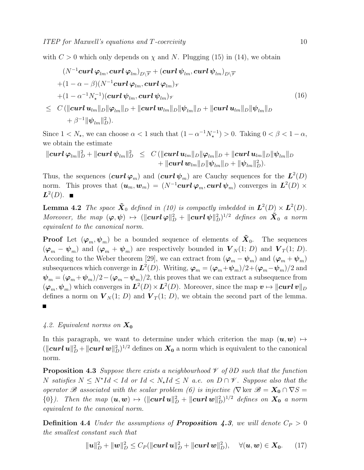with  $C > 0$  which only depends on  $\chi$  and N. Plugging (15) in (14), we obtain

$$
(N^{-1}\operatorname{curl} \varphi_{lm}, \operatorname{curl} \varphi_{lm})_{D\setminus \overline{\mathscr{V}}} + (\operatorname{curl} \psi_{lm}, \operatorname{curl} \psi_{lm})_{D\setminus \overline{\mathscr{V}}}
$$
  
+  $(1 - \alpha - \beta)(N^{-1}\operatorname{curl} \varphi_{lm}, \operatorname{curl} \varphi_{lm})_{\mathscr{V}}$   
+  $(1 - \alpha^{-1}N_{\star}^{-1})(\operatorname{curl} \psi_{lm}, \operatorname{curl} \psi_{lm})_{\mathscr{V}}$   
 $\leq C (\|\operatorname{curl} u_{lm}\|_{D} \|\varphi_{lm}\|_{D} + \|\operatorname{curl} w_{lm}\|_{D} \|\psi_{lm}\|_{D} + \|\operatorname{curl} u_{lm}\|_{D} \|\psi_{lm}\|_{D}$   
+  $\beta^{-1} \|\psi_{lm}\|_{D}^{2}).$  (16)

Since  $1 < N_{\star}$ , we can choose  $\alpha < 1$  such that  $(1 - \alpha^{-1} N_{\star}^{-1}) > 0$ . Taking  $0 < \beta < 1 - \alpha$ , we obtain the estimate

 $\|curl\,\varphi_{lm}\|_D^2+\|curl\,\psi_{lm}\|_D^2 \ \ \le \ \ C\left(\|curl\, \pmb{u}_{lm}\|_D\|\varphi_{lm}\|_D+\|curl\,\pmb{u}_{lm}\|_D\|\psi_{lm}\|_D^2 \right)$  $+ \left\| {\boldsymbol{curl}}\, {\boldsymbol{w}}_{lm} \right\|_{D} \! \left\| \boldsymbol{\psi}_{lm} \right\|_{D} + \left\| \boldsymbol{\psi}_{lm} \right\|_{D}^{2} ).$ 

Thus, the sequences  $(\boldsymbol{curl} \boldsymbol{\varphi}_m)$  and  $(\boldsymbol{curl} \boldsymbol{\psi}_m)$  are Cauchy sequences for the  $\boldsymbol{L}^2(D)$ norm. This proves that  $(\bm{u}_m, \bm{w}_m) = (N^{-1}\bm{curl} \, \bm{\varphi}_m, \bm{curl} \, \bm{\psi}_m)$  converges in  $\bm{L}^2(D) \times$  $L^2(D)$ .

**Lemma 4.2** The space  $\tilde{\boldsymbol{X}}_0$  defined in (10) is compactly imbedded in  $\boldsymbol{L}^2(D) \times \boldsymbol{L}^2(D)$ . Moreover, the map  $(\varphi, \psi) \mapsto (||curl \varphi||_D^2 + ||curl \psi||_D^2)^{1/2}$  defines on  $\tilde{X}_0$  a norm equivalent to the canonical norm.

**Proof** Let  $(\varphi_m, \psi_m)$  be a bounded sequence of elements of  $\tilde{\mathbf{X}}_0$ . The sequences  $(\varphi_m - \psi_m)$  and  $(\varphi_m + \psi_m)$  are respectively bounded in  $V_N(1; D)$  and  $V_T(1; D)$ . According to the Weber theorem [29], we can extract from  $(\varphi_m - \psi_m)$  and  $(\varphi_m + \psi_m)$ subsequences which converge in  $L^2(D)$ . Writing,  $\boldsymbol{\varphi}_m = (\boldsymbol{\varphi}_m + \boldsymbol{\psi}_m)/2 + (\boldsymbol{\varphi}_m - \boldsymbol{\psi}_m)/2$  and  $\psi_m = (\varphi_m + \psi_m)/2 - (\varphi_m - \psi_m)/2$ , this proves that we can extract a subsequence from  $(\varphi_m, \psi_m)$  which converges in  $L^2(D) \times L^2(D)$ . Moreover, since the map  $v \mapsto ||curl v||_D$ defines a norm on  $V_N(1; D)$  and  $V_T(1; D)$ , we obtain the second part of the lemma.

#### 4.2. Equivalent norms on  $X_0$

In this paragraph, we want to determine under which criterion the map  $(\boldsymbol{u}, \boldsymbol{w}) \mapsto$  $(\|\bm{curl}\,\bm{u}\|_D^2 + \|\bm{curl}\,\bm{w}\|_D^2)^{1/2}$  defines on  $\bm{X_0}$  a norm which is equivalent to the canonical norm.

**Proposition 4.3** Suppose there exists a neighbourhood  $\mathcal V$  of ∂D such that the function N satisfies  $N \leq N^{\star}Id < Id$  or  $Id < N_{\star}Id \leq N$  a.e. on  $D \cap \mathscr{V}$ . Suppose also that the operator B associated with the scalar problem (6) is injective  $(\nabla \text{ ker } B = X_0 \cap \nabla S =$  ${0}$ ). Then the map  $(u, w) \mapsto (||curl u||_D^2 + ||curl w||_D^2)^{1/2}$  defines on  $X_0$  a norm equivalent to the canonical norm.

**Definition 4.4** Under the assumptions of **Proposition 4.3**, we will denote  $C_P > 0$ the smallest constant such that

$$
\|\boldsymbol{u}\|_{D}^{2}+\|\boldsymbol{w}\|_{D}^{2}\leq C_{P}(\|\boldsymbol{curl}\,\boldsymbol{u}\|_{D}^{2}+\|\boldsymbol{curl}\,\boldsymbol{w}\|_{D}^{2}),\quad\forall(\boldsymbol{u},\boldsymbol{w})\in\boldsymbol{X_{0}}.\qquad(17)
$$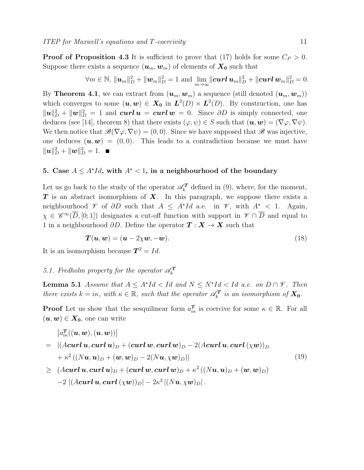**Proof of Proposition 4.3** It is sufficient to prove that (17) holds for some  $C_P > 0$ . Suppose there exists a sequence  $(\boldsymbol{u}_m, \boldsymbol{w}_m)$  of elements of  $\boldsymbol{X_0}$  such that

$$
\forall m \in \mathbb{N}, \, \| \boldsymbol{u}_m \|_{D}^2 + \| \boldsymbol{w}_m \|_{D}^2 = 1 \text{ and } \lim_{m \to \infty} \| \boldsymbol{curl} \, \boldsymbol{u}_m \|_{D}^2 + \| \boldsymbol{curl} \, \boldsymbol{w}_m \|_{D}^2 = 0.
$$

By **Theorem 4.1**, we can extract from  $(\mathbf{u}_m, \mathbf{w}_m)$  a sequence (still denoted  $(\mathbf{u}_m, \mathbf{w}_m)$ ) which converges to some  $(u, w) \in X_0$  in  $L^2(D) \times L^2(D)$ . By construction, one has  $\|\boldsymbol{u}\|_{D}^{2} + \|\boldsymbol{w}\|_{D}^{2} = 1$  and  $\boldsymbol{curl}\,\boldsymbol{u} = \boldsymbol{curl}\,\boldsymbol{w} = 0$ . Since  $\partial D$  is simply connected, one deduces (see [14], theorem 8) that there exists  $(\varphi, \psi) \in S$  such that  $(\mathbf{u}, \mathbf{w}) = (\nabla \varphi, \nabla \psi)$ . We then notice that  $\mathscr{B}(\nabla\varphi,\nabla\psi)=(0,0)$ . Since we have supposed that  $\mathscr{B}$  was injective, one deduces  $(u, w) = (0, 0)$ . This leads to a contradiction because we must have  $\|\boldsymbol{u}\|_{D}^2 + \|\boldsymbol{w}\|_{D}^2 = 1.$ 

# 5. Case  $A \leq A^{\star}Id$ , with  $A^{\star} < 1$ , in a neighbourhood of the boundary

Let us go back to the study of the operator  $\mathscr{A}_{k}^{T}$  defined in (9), where, for the moment,  $T$  is an abstract isomorphism of  $X$ . In this paragraph, we suppose there exists a neighbourhood  $\mathscr V$  of  $\partial D$  such that  $A \leq A^{\star}Id$  a.e. in  $\mathscr V$ , with  $A^{\star} < 1$ . Again,  $\chi \in \mathscr{C}^{\infty}(\overline{D}, [0, 1])$  designates a cut-off function with support in  $\mathscr{V} \cap \overline{D}$  and equal to 1 in a neighbourhood  $\partial D$ . Define the operator  $\mathbf{T} : \mathbf{X} \to \mathbf{X}$  such that

$$
T(u, w) = (u - 2\chi w, -w). \tag{18}
$$

It is an isomorphism because  $T^2 = Id$ .

# 5.1. Fredholm property for the operator  $\mathscr{A}_k^T$

**Lemma 5.1** Assume that  $A \leq A^*Id < Id$  and  $N \leq N^*Id < Id$  a.e. on  $D \cap \mathcal{V}$ . Then there exists  $k = i\kappa$ , with  $\kappa \in \mathbb{R}$ , such that the operator  $\mathscr{A}_{k}^{T}$  is an isomorphism of  $\mathbf{X}_{0}$ .

**Proof** Let us show that the sesquilinear form  $a_{ik}^T$  is coercive for some  $\kappa \in \mathbb{R}$ . For all  $(\boldsymbol{u}, \boldsymbol{w}) \in \boldsymbol{X_0}$ , one can write

$$
\left|a_{i\kappa}^T((\boldsymbol{u},\boldsymbol{w}),(\boldsymbol{u},\boldsymbol{w}))\right|
$$

$$
= |(A\boldsymbol{curl}\,\boldsymbol{u},\boldsymbol{curl}\,\boldsymbol{u})_D + (\boldsymbol{curl}\,\boldsymbol{w},\boldsymbol{curl}\,\boldsymbol{w})_D - 2(A\boldsymbol{curl}\,\boldsymbol{u},\boldsymbol{curl}\,(\chi\boldsymbol{w}))_D + \kappa^2 ((Nu,\boldsymbol{u})_D + (\boldsymbol{w},\boldsymbol{w})_D - 2(N\boldsymbol{u},\chi\boldsymbol{w})_D)|
$$
(19)

 $\begin{array}{lll} \geq & (A {\boldsymbol{curl}}\, \boldsymbol{u}, {\boldsymbol{curl}}\, \boldsymbol{u})_D + ({\boldsymbol{curl}}\, \boldsymbol{w}, {\boldsymbol{curl}}\, \boldsymbol{w})_D + \kappa^2 \left( (N\boldsymbol{u}, \boldsymbol{u})_D + (\boldsymbol{w}, \boldsymbol{w})_D \right) \end{array}$  $-2 \left| (A \boldsymbol{curl} \, \boldsymbol{u}, \boldsymbol{curl} \, (\chi \boldsymbol{w}))_D \right| - 2 \kappa^2 \left| (N \boldsymbol{u}, \chi \boldsymbol{w})_D \right|.$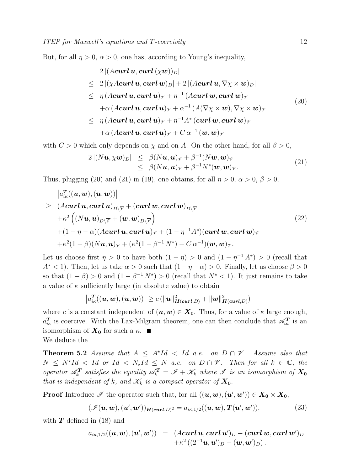But, for all  $\eta > 0$ ,  $\alpha > 0$ , one has, according to Young's inequality,

$$
2 |(A \mathbf{curl} \, \mathbf{u}, \mathbf{curl} \, (\chi \mathbf{w}))_D|
$$
  
\n
$$
\leq 2 |(\chi A \mathbf{curl} \, \mathbf{u}, \mathbf{curl} \, \mathbf{w})_D| + 2 |(A \mathbf{curl} \, \mathbf{u}, \nabla \chi \times \mathbf{w})_D|
$$
  
\n
$$
\leq \eta (A \mathbf{curl} \, \mathbf{u}, \mathbf{curl} \, \mathbf{u})_\mathcal{V} + \eta^{-1} (A \mathbf{curl} \, \mathbf{w}, \mathbf{curl} \, \mathbf{w})_\mathcal{V}
$$
  
\n
$$
+ \alpha (A \mathbf{curl} \, \mathbf{u}, \mathbf{curl} \, \mathbf{u})_\mathcal{V} + \alpha^{-1} (A (\nabla \chi \times \mathbf{w}), \nabla \chi \times \mathbf{w})_\mathcal{V}
$$
  
\n
$$
\leq \eta (A \mathbf{curl} \, \mathbf{u}, \mathbf{curl} \, \mathbf{u})_\mathcal{V} + \eta^{-1} A^* (\mathbf{curl} \, \mathbf{w}, \mathbf{curl} \, \mathbf{w})_\mathcal{V}
$$
  
\n
$$
+ \alpha (A \mathbf{curl} \, \mathbf{u}, \mathbf{curl} \, \mathbf{u})_\mathcal{V} + C \, \alpha^{-1} (\mathbf{w}, \mathbf{w})_\mathcal{V}
$$
\n(20)

with  $C > 0$  which only depends on  $\chi$  and on A. On the other hand, for all  $\beta > 0$ ,

$$
2 |(N\boldsymbol{u}, \chi \boldsymbol{w})_D| \leq \beta (N\boldsymbol{u}, \boldsymbol{u})_{\gamma} + \beta^{-1} (N\boldsymbol{w}, \boldsymbol{w})_{\gamma} \leq \beta (N\boldsymbol{u}, \boldsymbol{u})_{\gamma} + \beta^{-1} N^*(\boldsymbol{w}, \boldsymbol{w})_{\gamma}.
$$
\n(21)

Thus, plugging (20) and (21) in (19), one obtains, for all  $\eta > 0$ ,  $\alpha > 0$ ,  $\beta > 0$ ,

$$
\begin{aligned}\n&\left| a_{ik}^T((\boldsymbol{u},\boldsymbol{w}),(\boldsymbol{u},\boldsymbol{w})) \right| \\
&\geq (A\boldsymbol{curl}\,\boldsymbol{u},\boldsymbol{curl}\,\boldsymbol{u})_{D\setminus\overline{\mathscr{V}}} + (\boldsymbol{curl}\,\boldsymbol{w},\boldsymbol{curl}\,\boldsymbol{w})_{D\setminus\overline{\mathscr{V}}} \\
&\quad + \kappa^2 \left( (N\boldsymbol{u},\boldsymbol{u})_{D\setminus\overline{\mathscr{V}}} + (\boldsymbol{w},\boldsymbol{w})_{D\setminus\overline{\mathscr{V}}} \right) \\
&\quad + (1-\eta-\alpha)(A\boldsymbol{curl}\,\boldsymbol{u},\boldsymbol{curl}\,\boldsymbol{u})_{\mathscr{V}} + (1-\eta^{-1}A^*)(\boldsymbol{curl}\,\boldsymbol{w},\boldsymbol{curl}\,\boldsymbol{w})_{\mathscr{V}} \\
&\quad + \kappa^2 (1-\beta)(N\boldsymbol{u},\boldsymbol{u})_{\mathscr{V}} + (\kappa^2(1-\beta^{-1}N^*) - C\,\alpha^{-1})(\boldsymbol{w},\boldsymbol{w})_{\mathscr{V}}.\n\end{aligned} \tag{22}
$$

Let us choose first  $\eta > 0$  to have both  $(1 - \eta) > 0$  and  $(1 - \eta^{-1} A^*) > 0$  (recall that  $A^*$  < 1). Then, let us take  $\alpha > 0$  such that  $(1 - \eta - \alpha) > 0$ . Finally, let us choose  $\beta > 0$ so that  $(1 - \beta) > 0$  and  $(1 - \beta^{-1} N^*) > 0$  (recall that  $N^* < 1$ ). It just remains to take a value of  $\kappa$  sufficiently large (in absolute value) to obtain

$$
\left|a_{ik}^T((\boldsymbol{u},\boldsymbol{w}),(\boldsymbol{u},\boldsymbol{w}))\right| \geq c \left(\|\boldsymbol{u}\|^2_{\boldsymbol{H}(\boldsymbol{curl},D)} + \|\boldsymbol{w}\|^2_{\boldsymbol{H}(\boldsymbol{curl},D)}\right)
$$

where c is a constant independent of  $(\boldsymbol{u}, \boldsymbol{w}) \in \boldsymbol{X_0}$ . Thus, for a value of  $\kappa$  large enough,  $a_{ik}^T$  is coercive. With the Lax-Milgram theorem, one can then conclude that  $\mathscr{A}_{ik}^T$  is an isomorphism of  $X_0$  for such a  $\kappa$ .

We deduce the

**Theorem 5.2** Assume that  $A \leq A^*Id \leq Id$  a.e. on  $D \cap \mathcal{V}$ . Assume also that  $N \leq N^*Id \leq Id$  or  $Id \leq N_*Id \leq N$  a.e. on  $D \cap \mathscr{V}$ . Then for all  $k \in \mathbb{C}$ , then operator  $\mathscr{A}_{k}^{T}$  satisfies the equality  $\mathscr{A}_{k}^{T} = \mathscr{I} + \mathscr{K}_{k}$  where  $\mathscr{I}$  is an isomorphism of  $X_{0}$ that is independent of k, and  $\mathcal{K}_k$  is a compact operator of  $X_0$ .

**Proof** Introduce  $\mathscr{I}$  the operator such that, for all  $((u, w), (u', w')) \in X_0 \times X_0$ ,

$$
(\mathscr{I}(\boldsymbol{u},\boldsymbol{w}),(\boldsymbol{u}',\boldsymbol{w}'))_{\boldsymbol{H}(\boldsymbol{curl},D)^2}=a_{i\kappa,1/2}((\boldsymbol{u},\boldsymbol{w}),\boldsymbol{T}(\boldsymbol{u}',\boldsymbol{w}')), \qquad (23)
$$

with  $T$  defined in (18) and

$$
\begin{array}{lll} a_{i\kappa,1/2}((\bm{u},\bm{w}),(\bm{u}',\bm{w}'))&=&(A\bm{curl}\,\bm{u},\bm{curl}\,\bm{u}')_D-(\bm{curl}\,\bm{w},\bm{curl}\,\bm{w}')_D \\& &+\kappa^2\left((2^{-1}\bm{u},\bm{u}')_D-(\bm{w},\bm{w}')_D\right).\end{array}
$$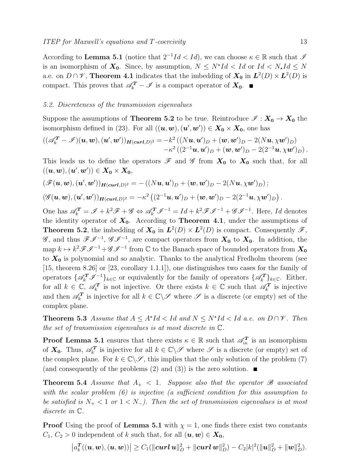According to Lemma 5.1 (notice that  $2^{-1}Id < Id$ ), we can choose  $\kappa \in \mathbb{R}$  such that  $\mathscr{I}$ is an isomorphism of  $X_0$ . Since, by assumption,  $N \leq N^{\star}Id < Id$  or  $Id < N_{\star}Id \leq N$ a.e. on  $D \cap \mathscr{V}$ , Theorem 4.1 indicates that the imbedding of  $\mathbf{X_0}$  in  $\mathbf{L}^2(D) \times \mathbf{L}^2(D)$  is compact. This proves that  $\mathscr{A}_{k}^{T} - \mathscr{I}$  is a compact operator of  $X_0$ .

#### 5.2. Discreteness of the transmission eigenvalues

Suppose the assumptions of **Theorem 5.2** to be true. Reintroduce  $\mathscr{I}: X_0 \to X_0$  the isomorphism defined in (23). For all  $((u, w), (u', w')) \in X_0 \times X_0$ , one has

$$
((\mathscr{A}_{k}^{T} - \mathscr{I})(\boldsymbol{u}, \boldsymbol{w}), (\boldsymbol{u}', \boldsymbol{w}'))_{H(\boldsymbol{curl}, D)^{2}} = -k^{2} ((N\boldsymbol{u}, \boldsymbol{u}')_{D} + (\boldsymbol{w}, \boldsymbol{w}')_{D} - 2(N\boldsymbol{u}, \chi \boldsymbol{w}')_{D}) -k^{2} ((2^{-1}\boldsymbol{u}, \boldsymbol{u}')_{D} + (\boldsymbol{w}, \boldsymbol{w}')_{D} - 2(2^{-1}\boldsymbol{u}, \chi \boldsymbol{w}')_{D}).
$$

This leads us to define the operators  $\mathscr F$  and  $\mathscr G$  from  $X_0$  to  $X_0$  such that, for all  $((\boldsymbol{u},\boldsymbol{w}),(\boldsymbol{u}',\boldsymbol{w}'))\in \boldsymbol{X_0}\times \boldsymbol{X_0},$ 

$$
\begin{aligned} (\mathscr{F}(\boldsymbol{u},\boldsymbol{w}),(\boldsymbol{u}',\boldsymbol{w}'))_{\boldsymbol{H}(\boldsymbol{curl},D)^2} &= -((N\boldsymbol{u},\boldsymbol{u}')_D + (\boldsymbol{w},\boldsymbol{w}')_D - 2(N\boldsymbol{u},\chi\boldsymbol{w}')_D) \, ; \\ (\mathscr{G}(\boldsymbol{u},\boldsymbol{w}),(\boldsymbol{u}',\boldsymbol{w}'))_{\boldsymbol{H}(\boldsymbol{curl},D)^2} &= -\kappa^2 \left( (2^{-1}\boldsymbol{u},\boldsymbol{u}')_D + (\boldsymbol{w},\boldsymbol{w}')_D - 2(2^{-1}\boldsymbol{u},\chi\boldsymbol{w}')_D \right). \end{aligned}
$$

One has  $\mathscr{A}_{k}^{T} = \mathscr{I} + k^2 \mathscr{F} + \mathscr{G} \Leftrightarrow \mathscr{A}_{k}^{T} \mathscr{I}^{-1} = Id + k^2 \mathscr{F} \mathscr{I}^{-1} + \mathscr{G} \mathscr{I}^{-1}$ . Here, Id denotes the identity operator of  $X_0$ . According to **Theorem 4.1**, under the assumptions of **Theorem 5.2**, the imbedding of  $X_0$  in  $L^2(D) \times L^2(D)$  is compact. Consequently  $\mathscr{F}$ ,  $\mathscr{G}$ , and thus  $\mathscr{F} \mathscr{I}^{-1}$ ,  $\mathscr{G} \mathscr{I}^{-1}$ , are compact operators from  $X_0$  to  $X_0$ . In addition, the map  $k \mapsto k^2 \mathscr{F} \mathscr{I}^{-1} + \mathscr{G} \mathscr{I}^{-1}$  from  $\mathbb C$  to the Banach space of bounded operators from  $\mathbf{X_0}$ to  $X_0$  is polynomial and so analytic. Thanks to the analytical Fredholm theorem (see [15, theorem 8.26] or [23, corollary 1.1.1]), one distinguishes two cases for the family of operators  $\{\mathscr{A}_{k}^{T}\mathscr{I}^{-1}\}_{k\in\mathbb{C}}$  or equivalently for the family of operators  $\{\mathscr{A}_{k}^{T}\}_{k\in\mathbb{C}}$ . Either, for all  $k \in \mathbb{C}$ ,  $\mathscr{A}_{k}^{T}$  is not injective. Or there exists  $k \in \mathbb{C}$  such that  $\mathscr{A}_{k}^{T}$  is injective and then  $\mathscr{A}_k^T$  is injective for all  $k \in \mathbb{C} \backslash \mathscr{S}$  where  $\mathscr{S}$  is a discrete (or empty) set of the complex plane.

**Theorem 5.3** Assume that  $A \leq A^{\star}Id < Id$  and  $N \leq N^{\star}Id < Id$  a.e. on  $D \cap \mathscr{V}$ . Then the set of transmission eigenvalues is at most discrete in C.

**Proof Lemma 5.1** ensures that there exists  $\kappa \in \mathbb{R}$  such that  $\mathscr{A}_{i\kappa}^T$  is an isomorphism of  $X_0$ . Thus,  $\mathscr{A}_k^T$  is injective for all  $k \in \mathbb{C} \setminus \mathscr{S}$  where  $\mathscr{S}$  is a discrete (or empty) set of the complex plane. For  $k \in \mathbb{C} \backslash \mathscr{S}$ , this implies that the only solution of the problem (7) (and consequently of the problems (2) and (3)) is the zero solution.  $\blacksquare$ 

**Theorem 5.4** Assume that  $A_+ < 1$ . Suppose also that the operator  $\mathscr B$  associated with the scalar problem (6) is injective (a sufficient condition for this assumption to be satisfied is  $N_+ < 1$  or  $1 < N_-$ ). Then the set of transmission eigenvalues is at most discrete in C.

**Proof** Using the proof of Lemma 5.1 with  $\chi = 1$ , one finds there exist two constants  $C_1, C_2 > 0$  independent of k such that, for all  $(\boldsymbol{u}, \boldsymbol{w}) \in \boldsymbol{X_0}$ ,

$$
\left|a_k^T((\boldsymbol{u},\boldsymbol{w}),(\boldsymbol{u},\boldsymbol{w}))\right| \geq C_1(\|\boldsymbol{curl}\,\boldsymbol{u}\|_D^2 + \|\boldsymbol{curl}\,\boldsymbol{w}\|_D^2) - C_2|k|^2(\|\boldsymbol{u}\|_D^2 + \|\boldsymbol{w}\|_D^2).
$$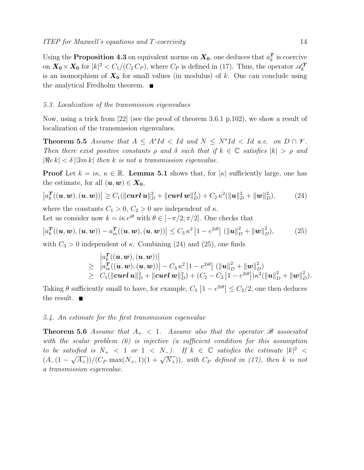Using the Proposition 4.3 on equivalent norms on  $X_0$ , one deduces that  $a_k^T$  is coercive on  $X_0 \times X_0$  for  $|k|^2 < C_1/(C_2 C_P)$ , where  $C_P$  is defined in (17). Thus, the operator  $\mathscr{A}_k^T$ is an isomorphism of  $X_0$  for small values (in modulus) of k. One can conclude using the analytical Fredholm theorem.

#### 5.3. Localization of the transmission eigenvalues

Now, using a trick from [22] (see the proof of theorem 3.6.1 p.102), we show a result of localization of the transmission eigenvalues.

**Theorem 5.5** Assume that  $A \leq A^*Id < Id$  and  $N \leq N^*Id < Id$  a.e. on  $D \cap \mathcal{V}$ . Then there exist positive constants  $\rho$  and  $\delta$  such that if  $k \in \mathbb{C}$  satisfies  $|k| > \rho$  and  $|\Re e k| < \delta |\Im m k|$  then k is not a transmission eigenvalue.

**Proof** Let  $k = i\kappa, \ \kappa \in \mathbb{R}$ . Lemma 5.1 shows that, for  $|\kappa|$  sufficiently large, one has the estimate, for all  $(\boldsymbol{u}, \boldsymbol{w}) \in \boldsymbol{X_0}$ ,

$$
\left| a_k^T((\boldsymbol{u},\boldsymbol{w}),(\boldsymbol{u},\boldsymbol{w})) \right| \geq C_1(\|\boldsymbol{curl}\,\boldsymbol{u}\|_D^2 + \|\boldsymbol{curl}\,\boldsymbol{w}\|_D^2) + C_2\,\kappa^2(\|\boldsymbol{u}\|_D^2 + \|\boldsymbol{w}\|_D^2),\tag{24}
$$

where the constants  $C_1 > 0$ ,  $C_2 > 0$  are independent of  $\kappa$ . Let us consider now  $k = i\kappa e^{i\theta}$  with  $\theta \in [-\pi/2, \pi/2]$ . One checks that

$$
\left| a_k^T((\boldsymbol{u},\boldsymbol{w}),(\boldsymbol{u},\boldsymbol{w})) - a_{ik}^T((\boldsymbol{u},\boldsymbol{w}),(\boldsymbol{u},\boldsymbol{w})) \right| \le C_3 \kappa^2 \left| 1 - e^{2i\theta} \right| (\|\boldsymbol{u}\|_D^2 + \|\boldsymbol{w}\|_D^2), \tag{25}
$$

with  $C_3 > 0$  independent of  $\kappa$ . Combining (24) and (25), one finds

$$
|a_{k}^{T}((\boldsymbol{u},\boldsymbol{w}),(\boldsymbol{u},\boldsymbol{w}))|
$$
  
\n
$$
\geq |a_{ik}^{T}((\boldsymbol{u},\boldsymbol{w}),(\boldsymbol{u},\boldsymbol{w}))| - C_{3} \kappa^{2} |1 - e^{2i\theta}| (\|\boldsymbol{u}\|_{D}^{2} + \|\boldsymbol{w}\|_{D}^{2})
$$
  
\n
$$
\geq C_{1}(\|\boldsymbol{curl}\,\boldsymbol{u}\|_{D}^{2} + \|\boldsymbol{curl}\,\boldsymbol{w}\|_{D}^{2}) + (C_{2} - C_{3} |1 - e^{2i\theta}|) \kappa^{2} (\|\boldsymbol{u}\|_{D}^{2} + \|\boldsymbol{w}\|_{D}^{2}).
$$

Taking  $\theta$  sufficiently small to have, for example,  $C_3$   $\left|1 - e^{2i\theta}\right| \leq C_2/2$ , one then deduces the result.  $\blacksquare$ 

#### 5.4. An estimate for the first transmission eigenvalue

**Theorem 5.6** Assume that  $A_+ < 1$ . Assume also that the operator  $\mathscr B$  associated with the scalar problem (6) is injective (a sufficient condition for this assumption to be satisfied is  $N_+ < 1$  or  $1 < N_-$ ). If  $k \in \mathbb{C}$  satisfies the estimate  $|k|^2 <$ (A<sub>−</sub>(1 −  $\sqrt{A_+}$ ))/(C<sub>P</sub> max(N<sub>+</sub>, 1)(1 +  $\sqrt{N_+}$ )), with C<sub>P</sub> defined in (17), then k is not a transmission eigenvalue.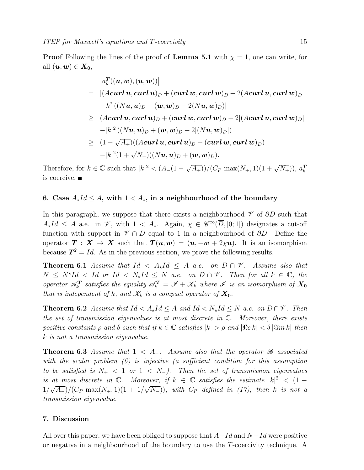**Proof** Following the lines of the proof of Lemma 5.1 with  $\chi = 1$ , one can write, for all  $(\boldsymbol{u}, \boldsymbol{w}) \in \boldsymbol{X}_0$ ,

$$
|a_k^T((u, w), (u, w))|
$$
  
= |(Acurl u, curl u)<sub>D</sub> + (curl w, curl w)<sub>D</sub> - 2(Acurl u, curl w)<sub>D</sub>  
-k<sup>2</sup> ((Nu, u)<sub>D</sub> + (w, w)<sub>D</sub> - 2(Nu, w)<sub>D</sub>)|  

$$
\geq (Acurl u, curl u)D + (curl w, curl w)D - 2|(Acurl u, curl w)D|-|k|2((Nu, u)D + (w, w)D + 2|(Nu, w)D|)= (1 - √A+)((Acurl u, curl u)D + (curl w, curl w)D)-|k|2(1 + √N+)((Nu, u)D + (w, w)D).
$$

Therefore, for  $k \in \mathbb{C}$  such that  $|k|^2 < (A_-(1-\sqrt{A_+}))/({C_P \max(N_+,1)(1+\sqrt{N_+})})$ ,  $a_k^T$ is coercive.

# 6. Case  $A_{\star}Id \leq A$ , with  $1 < A_{\star}$ , in a neighbourhood of the boundary

In this paragraph, we suppose that there exists a neighbourhood  $\mathscr V$  of  $\partial D$  such that  $A_{\star}Id \leq A$  a.e. in  $\mathscr{V}$ , with  $1 \leq A_{\star}$ . Again,  $\chi \in \mathscr{C}^{\infty}(\overline{D}, [0; 1])$  designates a cut-off function with support in  $\mathscr{V} \cap \overline{D}$  equal to 1 in a neighbourhood of  $\partial D$ . Define the operator  $T : X \to X$  such that  $T(u, w) = (u, -w + 2\chi u)$ . It is an isomorphism because  $T^2 = Id$ . As in the previous section, we prove the following results.

**Theorem 6.1** Assume that  $Id \leq A_{\star}Id \leq A$  a.e. on  $D \cap \mathcal{V}$ . Assume also that  $N \leq N^*Id \leq Id$  or  $Id \leq N_*Id \leq N$  a.e. on  $D \cap \mathscr{V}$ . Then for all  $k \in \mathbb{C}$ , then operator  $\mathscr{A}_{k}^{T}$  satisfies the equality  $\mathscr{A}_{k}^{T} = \mathscr{I} + \mathscr{K}_{k}$  where  $\mathscr{I}$  is an isomorphism of  $X_{0}$ that is independent of k, and  $\mathscr{K}_k$  is a compact operator of  $X_0$ .

**Theorem 6.2** Assume that  $Id < A_{\star}Id \leq A$  and  $Id < N_{\star}Id \leq N$  a.e. on  $D \cap V$ . Then the set of transmission eigenvalues is at most discrete in  $\mathbb{C}$ . Moreover, there exists positive constants  $\rho$  and  $\delta$  such that if  $k \in \mathbb{C}$  satisfies  $|k| > \rho$  and  $|\Re e k| < \delta |\Im m k|$  then k is not a transmission eigenvalue.

**Theorem 6.3** Assume that  $1 < A_-.$  Assume also that the operator  $\mathscr B$  associated with the scalar problem (6) is injective (a sufficient condition for this assumption to be satisfied is  $N_{+}$  < 1 or 1 <  $N_{-}$ ). Then the set of transmission eigenvalues is at most discrete in  $\mathbb{C}$ . Moreover, if  $k \in \mathbb{C}$  satisfies the estimate  $|k|^2 < (1 -$ 1/ √  $\overline{A_{-}}$ )/( $C_{P}$  max $(N_{+},1)(1 + 1/$ √  $(\overline{N_-}))$ , with  $C_P$  defined in (17), then k is not a transmission eigenvalue.

#### 7. Discussion

All over this paper, we have been obliged to suppose that  $A-Id$  and  $N-Id$  were positive or negative in a neighbourhood of the boundary to use the T-coercivity technique. A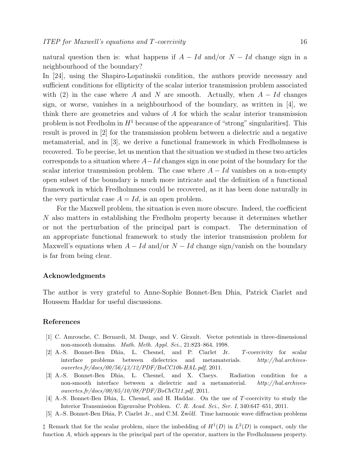natural question then is: what happens if  $A - Id$  and/or  $N - Id$  change sign in a neighbourhood of the boundary?

In [24], using the Shapiro-Lopatinskii condition, the authors provide necessary and sufficient conditions for ellipticity of the scalar interior transmission problem associated with (2) in the case where A and N are smooth. Actually, when  $A - Id$  changes sign, or worse, vanishes in a neighbourhood of the boundary, as written in [4], we think there are geometries and values of A for which the scalar interior transmission problem is not Fredholm in  $H<sup>1</sup>$  because of the appearance of "strong" singularities: result is proved in [2] for the transmission problem between a dielectric and a negative metamaterial, and in [3], we derive a functional framework in which Fredholmness is recovered. To be precise, let us mention that the situation we studied in these two articles corresponds to a situation where  $A-Id$  changes sign in one point of the boundary for the scalar interior transmission problem. The case where  $A - Id$  vanishes on a non-empty open subset of the boundary is much more intricate and the definition of a functional framework in which Fredholmness could be recovered, as it has been done naturally in the very particular case  $A = Id$ , is an open problem.

For the Maxwell problem, the situation is even more obscure. Indeed, the coefficient N also matters in establishing the Fredholm property because it determines whether or not the perturbation of the principal part is compact. The determination of an appropriate functional framework to study the interior transmission problem for Maxwell's equations when  $A - Id$  and/or  $N - Id$  change sign/vanish on the boundary is far from being clear.

#### Acknowledgments

The author is very grateful to Anne-Sophie Bonnet-Ben Dhia, Patrick Ciarlet and Houssem Haddar for useful discussions.

#### References

- [1] C. Amrouche, C. Bernardi, M. Dauge, and V. Girault. Vector potentials in three-dimensional non-smooth domains. Math. Meth. Appl. Sci., 21:823–864, 1998.
- [2] A.-S. Bonnet-Ben Dhia, L. Chesnel, and P. Ciarlet Jr. T-coercivity for scalar interface problems between dielectrics and metamaterials. http://hal.archivesouvertes.fr/docs/00/56/43/12/PDF/BoCC10b-HAL.pdf, 2011.
- [3] A.-S. Bonnet-Ben Dhia, L. Chesnel, and X. Claeys. Radiation condition for a non-smooth interface between a dielectric and a metamaterial. http://hal.archivesouvertes.fr/docs/00/65/10/08/PDF/BoChCl11.pdf, 2011.
- [4] A.-S. Bonnet-Ben Dhia, L. Chesnel, and H. Haddar. On the use of T-coercivity to study the Interior Transmission Eigenvalue Problem. C. R. Acad. Sci., Ser. I, 340:647–651, 2011.
- [5] A.-S. Bonnet-Ben Dhia, P. Ciarlet Jr., and C.M. Zwölf. Time harmonic wave diffraction problems

<sup> $\ddagger$ </sup> Remark that for the scalar problem, since the imbedding of  $H^1(D)$  in  $L^2(D)$  is compact, only the function A, which appears in the principal part of the operator, matters in the Fredholmness property.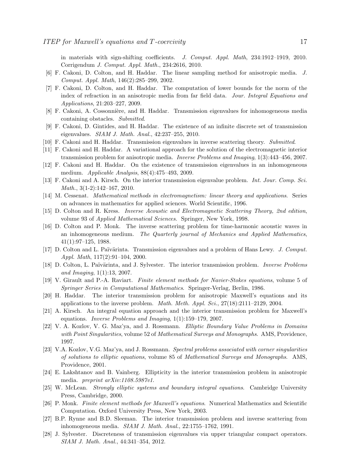in materials with sign-shifting coefficients. J. Comput. Appl. Math, 234:1912–1919, 2010. Corrigendum J. Comput. Appl. Math., 234:2616, 2010.

- [6] F. Cakoni, D. Colton, and H. Haddar. The linear sampling method for anisotropic media. J. Comput. Appl. Math, 146(2):285–299, 2002.
- [7] F. Cakoni, D. Colton, and H. Haddar. The computation of lower bounds for the norm of the index of refraction in an anisotropic media from far field data. Jour. Integral Equations and Applications, 21:203–227, 2009.
- [8] F. Cakoni, A. Cossonnière, and H. Haddar. Transmission eigenvalues for inhomogeneous media containing obstacles. Submitted.
- [9] F. Cakoni, D. Gintides, and H. Haddar. The existence of an infinite discrete set of transmission eigenvalues. SIAM J. Math. Anal., 42:237–255, 2010.
- [10] F. Cakoni and H. Haddar. Transmission eigenvalues in inverse scattering theory. Submitted.
- [11] F. Cakoni and H. Haddar. A variational approach for the solution of the electromagnetic interior transmission problem for anisotropic media. Inverse Problems and Imaging, 1(3):443–456, 2007.
- [12] F. Cakoni and H. Haddar. On the existence of transmission eigenvalues in an inhomogeneous medium. Applicable Analysis, 88(4):475–493, 2009.
- [13] F. Cakoni and A. Kirsch. On the interior transmission eigenvalue problem. Int. Jour. Comp. Sci. Math., 3(1-2):142–167, 2010.
- [14] M. Cessenat. Mathematical methods in electromagnetism: linear theory and applications. Series on advances in mathematics for applied sciences. World Scientific, 1996.
- [15] D. Colton and R. Kress. Inverse Acoustic and Electromagnetic Scattering Theory, 2nd edition, volume 93 of Applied Mathematical Sciences. Springer, New York, 1998.
- [16] D. Colton and P. Monk. The inverse scattering problem for time-harmonic acoustic waves in an inhomogeneous medium. The Quarterly journal of Mechanics and Applied Mathematics, 41(1):97–125, 1988.
- [17] D. Colton and L. Païvärinta. Transmission eigenvalues and a problem of Hans Lewy. J. Comput. Appl. Math, 117(2):91–104, 2000.
- [18] D. Colton, L. Païvärinta, and J. Sylvester. The interior transmission problem. *Inverse Problems* and Imaging, 1(1):13, 2007.
- [19] V. Girault and P.-A. Raviart. Finite element methods for Navier-Stokes equations, volume 5 of Springer Series in Computational Mathematics. Springer-Verlag, Berlin, 1986.
- [20] H. Haddar. The interior transmission problem for anisotropic Maxwell's equations and its applications to the inverse problem. Math. Meth. Appl. Sci., 27(18):2111–2129, 2004.
- [21] A. Kirsch. An integral equation approach and the interior transmission problem for Maxwell's equations. Inverse Problems and Imaging, 1(1):159–179, 2007.
- [22] V. A. Kozlov, V. G. Maz'ya, and J. Rossmann. Elliptic Boundary Value Problems in Domains with Point Singularities, volume 52 of Mathematical Surveys and Monographs. AMS, Providence, 1997.
- [23] V.A. Kozlov, V.G. Maz'ya, and J. Rossmann. Spectral problems associated with corner singularities of solutions to elliptic equations, volume 85 of Mathematical Surveys and Monographs. AMS, Providence, 2001.
- [24] E. Lakshtanov and B. Vainberg. Ellipticity in the interior transmission problem in anisotropic media. preprint arXiv:1108.5987v1.
- [25] W. McLean. Strongly elliptic systems and boundary integral equations. Cambridge University Press, Cambridge, 2000.
- [26] P. Monk. Finite element methods for Maxwell's equations. Numerical Mathematics and Scientific Computation. Oxford University Press, New York, 2003.
- [27] B.P. Rynne and B.D. Sleeman. The interior transmission problem and inverse scattering from inhomogeneous media. SIAM J. Math. Anal., 22:1755–1762, 1991.
- [28] J. Sylvester. Discreteness of transmission eigenvalues via upper triangular compact operators. SIAM J. Math. Anal., 44:341–354, 2012.